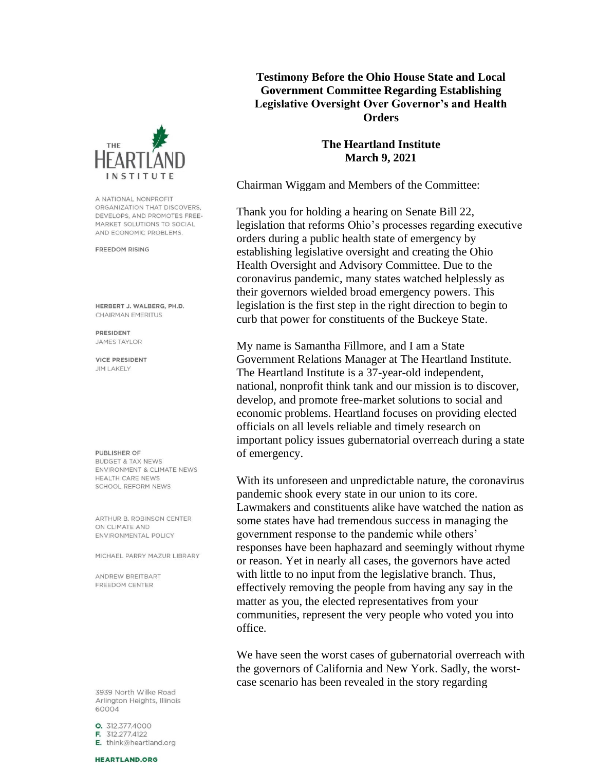

A NATIONAL NONPROFIT ORGANIZATION THAT DISCOVERS. DEVELOPS, AND PROMOTES FREE-MARKET SOLUTIONS TO SOCIAL AND ECONOMIC PROBLEMS.

**FREEDOM RISING** 

HERBERT J. WALBERG, PH.D. CHAIRMAN EMERITUS

PRESIDENT **JAMES TAYLOR** 

**VICE PRESIDENT JIM LAKELY** 

PUBLISHER OF **BUDGET & TAX NEWS** ENVIRONMENT & CLIMATE NEWS HEALTH CARE NEWS SCHOOL REFORM NEWS

ARTHUR B. ROBINSON CENTER ON CLIMATE AND ENVIRONMENTAL POLICY

MICHAEL PARRY MAZUR LIBRARY

ANDREW BREITBART FREEDOM CENTER

3939 North Wilke Road Arlington Heights, Illinois 60004

0. 312.377.4000 F. 312.277.4122 E. think@heartland.org

## **HEARTLAND.ORG**

**Testimony Before the Ohio House State and Local Government Committee Regarding Establishing Legislative Oversight Over Governor's and Health Orders** 

## **The Heartland Institute March 9, 2021**

Chairman Wiggam and Members of the Committee:

Thank you for holding a hearing on Senate Bill 22, legislation that reforms Ohio's processes regarding executive orders during a public health state of emergency by establishing legislative oversight and creating the Ohio Health Oversight and Advisory Committee. Due to the coronavirus pandemic, many states watched helplessly as their governors wielded broad emergency powers. This legislation is the first step in the right direction to begin to curb that power for constituents of the Buckeye State.

My name is Samantha Fillmore, and I am a State Government Relations Manager at The Heartland Institute. The Heartland Institute is a 37-year-old independent, national, nonprofit think tank and our mission is to discover, develop, and promote free-market solutions to social and economic problems. Heartland focuses on providing elected officials on all levels reliable and timely research on important policy issues gubernatorial overreach during a state of emergency.

With its unforeseen and unpredictable nature, the coronavirus pandemic shook every state in our union to its core. Lawmakers and constituents alike have watched the nation as some states have had tremendous success in managing the government response to the pandemic while others' responses have been haphazard and seemingly without rhyme or reason. Yet in nearly all cases, the governors have acted with little to no input from the legislative branch. Thus, effectively removing the people from having any say in the matter as you, the elected representatives from your communities, represent the very people who voted you into office.

We have seen the worst cases of gubernatorial overreach with the governors of California and New York. Sadly, the worstcase scenario has been revealed in the story regarding